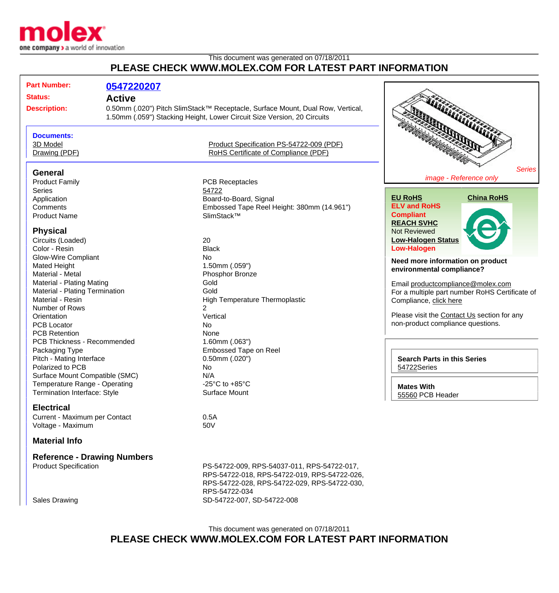

## This document was generated on 07/18/2011 **PLEASE CHECK WWW.MOLEX.COM FOR LATEST PART INFORMATION**

| <b>Part Number:</b>                | 0547220207                                                                     |                                                                         |                                                |  |
|------------------------------------|--------------------------------------------------------------------------------|-------------------------------------------------------------------------|------------------------------------------------|--|
| <b>Status:</b>                     | <b>Active</b>                                                                  |                                                                         |                                                |  |
|                                    | 0.50mm (.020") Pitch SlimStack™ Receptacle, Surface Mount, Dual Row, Vertical, |                                                                         |                                                |  |
| <b>Description:</b>                |                                                                                |                                                                         |                                                |  |
|                                    |                                                                                | 1.50mm (.059") Stacking Height, Lower Circuit Size Version, 20 Circuits |                                                |  |
| <b>Documents:</b>                  |                                                                                |                                                                         |                                                |  |
| 3D Model                           |                                                                                | Product Specification PS-54722-009 (PDF)                                |                                                |  |
| Drawing (PDF)                      |                                                                                | RoHS Certificate of Compliance (PDF)                                    |                                                |  |
|                                    |                                                                                |                                                                         |                                                |  |
| General                            |                                                                                |                                                                         | <b>Series</b>                                  |  |
| <b>Product Family</b>              |                                                                                | <b>PCB Receptacles</b>                                                  | image - Reference only                         |  |
| <b>Series</b>                      |                                                                                | 54722                                                                   |                                                |  |
| Application                        |                                                                                | Board-to-Board, Signal                                                  | <b>China RoHS</b><br><b>EU RoHS</b>            |  |
| Comments                           |                                                                                | Embossed Tape Reel Height: 380mm (14.961")                              | <b>ELV and RoHS</b>                            |  |
| <b>Product Name</b>                |                                                                                | SlimStack™                                                              | <b>Compliant</b>                               |  |
|                                    |                                                                                |                                                                         | <b>REACH SVHC</b>                              |  |
| <b>Physical</b>                    |                                                                                |                                                                         | <b>Not Reviewed</b>                            |  |
| Circuits (Loaded)                  |                                                                                | 20                                                                      | <b>Low-Halogen Status</b>                      |  |
| Color - Resin                      |                                                                                | <b>Black</b>                                                            | <b>Low-Halogen</b>                             |  |
| <b>Glow-Wire Compliant</b>         |                                                                                | <b>No</b>                                                               |                                                |  |
| <b>Mated Height</b>                |                                                                                | 1.50mm (.059")                                                          | Need more information on product               |  |
| Material - Metal                   |                                                                                | Phosphor Bronze                                                         | environmental compliance?                      |  |
| <b>Material - Plating Mating</b>   |                                                                                | Gold                                                                    | Email productcompliance@molex.com              |  |
| Material - Plating Termination     |                                                                                | Gold                                                                    | For a multiple part number RoHS Certificate of |  |
| Material - Resin                   |                                                                                | High Temperature Thermoplastic                                          | Compliance, click here                         |  |
| Number of Rows                     |                                                                                | 2                                                                       |                                                |  |
| Orientation                        |                                                                                | Vertical                                                                | Please visit the Contact Us section for any    |  |
| <b>PCB Locator</b>                 |                                                                                | <b>No</b>                                                               | non-product compliance questions.              |  |
| <b>PCB Retention</b>               |                                                                                | None                                                                    |                                                |  |
| PCB Thickness - Recommended        |                                                                                | $1.60$ mm $(.063")$                                                     |                                                |  |
| Packaging Type                     |                                                                                | <b>Embossed Tape on Reel</b>                                            |                                                |  |
| Pitch - Mating Interface           |                                                                                | $0.50$ mm $(.020")$                                                     | <b>Search Parts in this Series</b>             |  |
| Polarized to PCB                   |                                                                                | No                                                                      | 54722Series                                    |  |
| Surface Mount Compatible (SMC)     |                                                                                | N/A                                                                     |                                                |  |
| Temperature Range - Operating      |                                                                                | -25 $^{\circ}$ C to +85 $^{\circ}$ C                                    | <b>Mates With</b>                              |  |
| Termination Interface: Style       |                                                                                | Surface Mount                                                           | 55560 PCB Header                               |  |
| <b>Electrical</b>                  |                                                                                |                                                                         |                                                |  |
| Current - Maximum per Contact      |                                                                                | 0.5A                                                                    |                                                |  |
| Voltage - Maximum                  |                                                                                | 50V                                                                     |                                                |  |
| <b>Material Info</b>               |                                                                                |                                                                         |                                                |  |
| <b>Reference - Drawing Numbers</b> |                                                                                |                                                                         |                                                |  |
| <b>Product Specification</b>       |                                                                                | PS-54722-009, RPS-54037-011, RPS-54722-017,                             |                                                |  |
|                                    |                                                                                | RPS-54722-018, RPS-54722-019, RPS-54722-026,                            |                                                |  |
|                                    |                                                                                | RPS-54722-028, RPS-54722-029, RPS-54722-030,                            |                                                |  |
|                                    |                                                                                | RPS-54722-034                                                           |                                                |  |
| Sales Drawing                      |                                                                                | SD-54722-007, SD-54722-008                                              |                                                |  |

This document was generated on 07/18/2011 **PLEASE CHECK WWW.MOLEX.COM FOR LATEST PART INFORMATION**